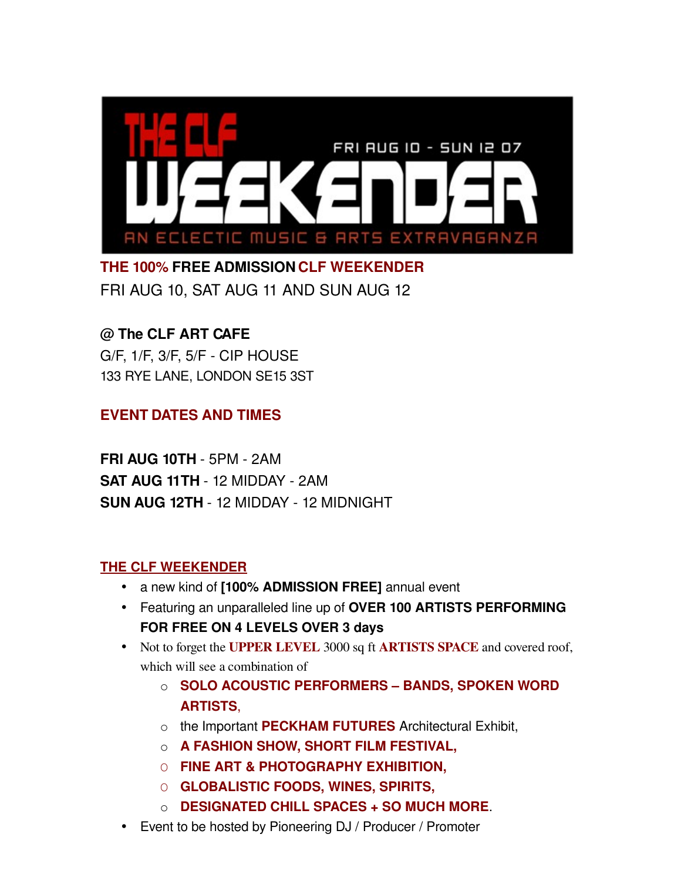

**THE 100% FREE ADMISSION CLF WEEKENDER** FRI AUG 10, SAT AUG 11 AND SUN AUG 12

## **@ The CLF ART CAFE**

G/F, 1/F, 3/F, 5/F CIP HOUSE 133 RYE LANE, LONDON SE15 3ST

## **EVENT DATES AND TIMES**

**FRI AUG 10TH - 5PM - 2AM SAT AUG 11TH - 12 MIDDAY - 2AM SUN AUG 12TH - 12 MIDDAY - 12 MIDNIGHT** 

## **[THE CLF WEEKENDER](http://www.myspace.com/clfplanet)**

- a new kind of **[100% ADMISSION FREE]** annual event
- Featuring an unparalleled line up of **OVER 100 ARTISTS PERFORMING FOR FREE ON 4 LEVELS OVER 3 days**
- Not to forget the **UPPER LEVEL** 3000 sq ft **ARTISTS SPACE** and covered roof, which will see a combination of
	- o **SOLO ACOUSTIC PERFORMERS BANDS, SPOKEN WORD ARTISTS**,
	- o the Important **PECKHAM FUTURES** Architectural Exhibit,
	- o **A FASHION SHOW, SHORT FILM FESTIVAL,**
	- O **FINE ART & PHOTOGRAPHY EXHIBITION,**
	- O **GLOBALISTIC FOODS, WINES, SPIRITS,**
	- o **DESIGNATED CHILL SPACES + SO MUCH MORE**.
- Event to be hosted by Pioneering DJ / Producer / Promoter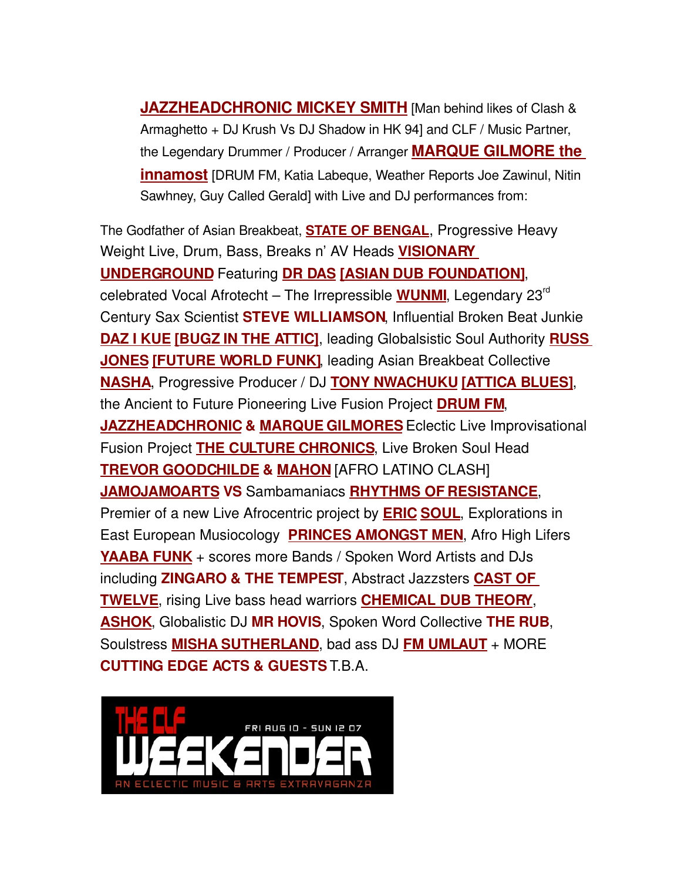**[JAZZHEADCHRONIC](http://www.myspace.com/jazzheadchronic) MICKEY SMITH** [Man behind likes of Clash & Armaghetto + DJ Krush Vs DJ Shadow in HK 94] and CLF / Music Partner, the Legendary Drummer / Producer / Arranger **MARQUE [GILMORE](http://www.mannafest.net/2001a/music_drum.html) the [innamost](http://www.mannafest.net/2001a/music_drum.html)** [DRUM FM, Katia Labeque, Weather Reports Joe Zawinul, Nitin Sawhney, Guy Called Gerald] with Live and DJ performances from:

The Godfather of Asian Breakbeat, **[STATE OF BENGAL](http://www.stateofbengal.com/)**, Progressive Heavy Weight Live, Drum, Bass, Breaks n' AV Heads **[VISIONARY](http://www.visionaryunderground.com/html/vu_intro.html) [UNDERGROUND](http://www.visionaryunderground.com/html/vu_intro.html)** Featuring **[DR DAS](http://www.myspace.com/drdas) [\[ASIAN DUB FOUNDATION\]](http://www.asiandubfoundation.com/adf_home_fs.htm)**, celebrated Vocal Afrotecht – The Irrepressible [WUNMI](http://www.wunmi.com/), Legendary 23<sup>rd</sup> Century Sax Scientist **STEVE WILLIAMSON**, Influential Broken Beat Junkie **[DAZ I KUE](http://www.myspace.com/dazikue) [\[BUGZ IN THE ATTIC\]](http://www.bugzintheattic.co.uk/intro.php)**, leading Globalsistic Soul Authority **[RUSS](http://www.myspace.com/russjones1) [JONES](http://www.myspace.com/russjones1) [\[FUTURE WORLD FUNK\]](http://www.futureworldfunk.com/)**, leading Asian Breakbeat Collective **[NASHA](http://www.nasha.co.uk/)**, Progressive Producer / DJ **[TONY NWACHUKU](http://www.burntprogress.com/) [\[ATTICA BLUES\]](http://www.consultthis.co.uk/AtticaBlues.htm)**, the Ancient to Future Pioneering Live Fusion Project **[DRUM FM](http://www.drumfm.com/home.html)**, **[JAZZHEADCHRONIC](http://www.myspace.com/jazzheadchronic) & [MARQUE GILMORES](http://www.myspace.com/marquegilmore)**Eclectic Live Improvisational Fusion Project **[THE CULTURE CHRONICS](http://vids.myspace.com/index.cfm?fuseaction=vids.individual&videoid=594270937)**, Live Broken Soul Head **[TREVOR GOODCHILDE](http://www.myspace.com/sugercainotis) & [MAHON](http://www.myspace.com/mahonmakemusic)** [AFRO LATINO CLASH] **[JAMOJAMOARTS](http://www.jamojamoarts.com/) VS** Sambamaniacs **[RHYTHMS OF RESISTANCE](http://www.rhythmsofresistance.co.uk/)**, Premier of a new Live Afrocentric project by **[ERIC](http://www.bbc.co.uk/radio3/worldmusic/a4wm2006/jury.shtml) [SOUL](http://www.myspace.com/afrogroov_ericsoul)**, Explorations in East European Musiocology **[PRINCES AMONGST MEN](http://www.myspace.com/princesamongstmen2007)**, Afro High Lifers **[YAABA FUNK](http://www.myspace.com/yaabafunk)** + scores more Bands / Spoken Word Artists and DJs including **ZINGARO & THE TEMPEST**, Abstract Jazzsters **[CAST OF](http://www.myspace.com/fmumlaut) [TWELVE](http://www.myspace.com/fmumlaut)**, rising Live bass head warriors **[CHEMICAL DUB THEORY](http://www.myspace.com/chemicaldubtheorymusic)**, **[ASHOK](http://www.myspace.com/ashokmusic)**, Globalistic DJ **MR HOVIS**, Spoken Word Collective **THE RUB**, Soulstress **[MISHA SUTHERLAND](http://www.myspace.com/mishasutherland)**, bad ass DJ **[FM UMLAUT](http://www.myspace.com/fmumlaut)** + MORE **CUTTING EDGE ACTS & GUESTS** T.B.A.